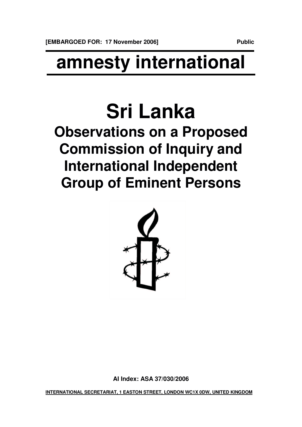## **amnesty international**

## **Sri Lanka**

## **Observations on a Proposed Commission of Inquiry and International Independent Group of Eminent Persons**



**AI Index: ASA 37/030/2006**

**INTERNATIONAL SECRETARIAT, 1 EASTON STREET, LONDON WC1X 0DW, UNITED KINGDOM**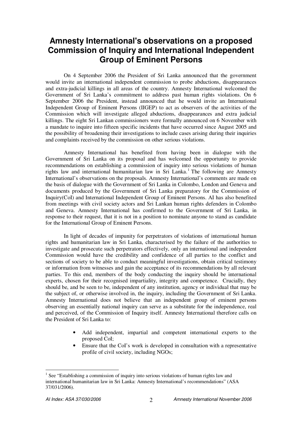## **Amnesty International's observations on a proposed Commission of Inquiry and International Independent Group of Eminent Persons**

On 4 September 2006 the President of Sri Lanka announced that the government would invite an international independent commission to probe abductions, disappearances and extra-judicial killings in all areas of the country. Amnesty International welcomed the Government of Sri Lanka's commitment to address past human rights violations. On 6 September 2006 the President, instead announced that he would invite an International Independent Group of Eminent Persons (IIGEP) to act as observers of the activities of the Commission which will investigate alleged abductions, disappearances and extra judicial killings. The eight Sri Lankan commissioners were formally announced on 6 November with a mandate to inquire into fifteen specific incidents that have occurred since August 2005 and the possibility of broadening their investigations to include cases arising during their inquiries and complaints received by the commission on other serious violations.

Amnesty International has benefited from having been in dialogue with the Government of Sri Lanka on its proposal and has welcomed the opportunity to provide recommendations on establishing a commission of inquiry into serious violations of human rights law and international humanitarian law in Sri Lanka. <sup>1</sup> The following are Amnesty International's observations on the proposals. Amnesty International's comments are made on the basis of dialogue with the Government of Sri Lanka in Colombo, London and Geneva and documents produced by the Government of Sri Lanka preparatory for the Commission of Inquiry(CoI) and International Independent Group of Eminent Persons. AI has also benefited from meetings with civil society actors and Sri Lankan human rights defenders in Colombo and Geneva. Amnesty International has confirmed to the Government of Sri Lanka, in response to their request, that it is not in a position to nominate anyone to stand as candidate for the International Group of Eminent Persons.

In light of decades of impunity for perpetrators of violations of international human rights and humanitarian law in Sri Lanka, characterised by the failure of the authorities to investigate and prosecute such perpetrators effectively, only an international and independent Commission would have the credibility and confidence of all parties to the conflict and sections of society to be able to conduct meaningful investigations, obtain critical testimony or information from witnesses and gain the acceptance of its recommendations by all relevant parties. To this end, members of the body conducting the inquiry should be international experts, chosen for their recognised impartiality, integrity and competence. Crucially, they should be, and be seen to be, independent of any institution, agency or individual that may be the subject of, or otherwise involved in, the inquiry, including the Government of Sri Lanka. Amnesty International does not believe that an independent group of eminent persons observing an essentially national inquiry can serve as a substitute for the independence, real and perceived, of the Commission of Inquiry itself. Amnesty International therefore calls on the President of Sri Lanka to:

- Add independent, impartial and competent international experts to the proposed CoI;
- Ensure that the CoI's work is developed in consultation with a representative profile of civil society, including NGOs;

<sup>1</sup> See "Establishing a commission of inquiry into serious violations of human rights law and international humanitarian law in Sri Lanka: Amnesty International's recommendations" (ASA 37/031/2006).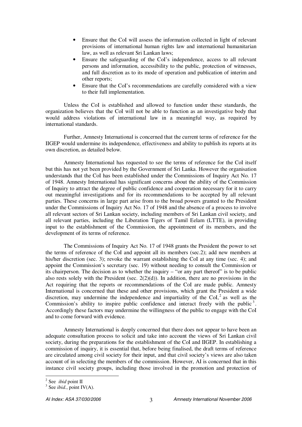- Ensure that the CoI will assess the information collected in light of relevant provisions of international human rights law and international humanitarian law, as well as relevant Sri Lankan laws;
- Ensure the safeguarding of the CoI's independence, access to all relevant persons and information, accessibility to the public, protection of witnesses, and full discretion as to its mode of operation and publication of interim and other reports;
- Ensure that the CoI's recommendations are carefully considered with a view to their full implementation.

Unless the CoI is established and allowed to function under these standards, the organization believes that the CoI will not be able to function as an investigative body that would address violations of international law in a meaningful way, as required by international standards.

Further, Amnesty International is concerned that the current terms of reference for the IIGEP would undermine its independence, effectiveness and ability to publish its reports at its own discretion, as detailed below.

Amnesty International has requested to see the terms of reference for the CoI itself but this has not yet been provided by the Government of Sri Lanka. However the organisation understands that the CoI has been established under the Commissions of Inquiry Act No. 17 of 1948. Amnesty International has significant concerns about the ability of the Commission of Inquiry to attract the degree of public confidence and cooperation necessary for it to carry out meaningful investigations and for its recommendations to be accepted by all relevant parties. These concerns in large part arise from to the broad powers granted to the President under the Commissions of Inquiry Act No. 17 of 1948 and the absence of a process to involve all relevant sectors of Sri Lankan society, including members of Sri Lankan civil society, and all relevant parties, including the Liberation Tigers of Tamil Eelam (LTTE), in providing input to the establishment of the Commission, the appointment of its members, and the development of its terms of reference.

The Commissions of Inquiry Act No. 17 of 1948 grants the President the power to set the terms of reference of the CoI and appoint all its members (sec.2); add new members at his/her discretion (sec. 3); revoke the warrant establishing the CoI at any time (sec. 4); and appoint the Commission's secretary (sec. 19) without needing to consult the Commission or its chairperson. The decision as to whether the inquiry – "or any part thereof" is to be public also rests solely with the President (sec.  $2(2)(d)$ ). In addition, there are no provisions in the Act requiring that the reports or recommendations of the CoI are made public. Amnesty International is concerned that these and other provisions, which grant the President a wide discretion, may undermine the independence and impartiality of the CoI, $^2$  as well as the Commission's ability to inspire public confidence and interact freely with the public<sup>3</sup>. Accordingly these factors may undermine the willingness of the public to engage with the CoI and to come forward with evidence.

Amnesty International is deeply concerned that there does not appear to have been an adequate consultation process to solicit and take into account the views of Sri Lankan civil society, during the preparations for the establishment of the CoI and IIGEP. In establishing a commission of inquiry, it is essential that, before being finalised, the draft terms of reference are circulated among civil society for their input, and that civil society's views are also taken account of in selecting the members of the commission. However, AI is concerned that in this instance civil society groups, including those involved in the promotion and protection of

<sup>2</sup> See *ibid* point II

<sup>&</sup>lt;sup>3</sup> See *ibid.*, point IV(A).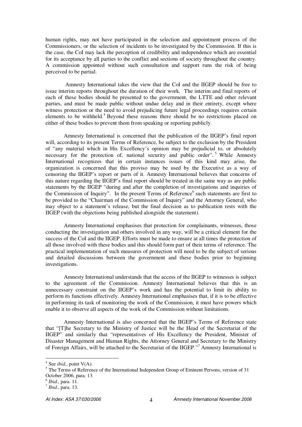human rights, may not have participated in the selection and appointment process of the Commissioners, or the selection of incidents to be investigated by the Commission. If this is the case, the CoI may lack the perception of credibility and independence which are essential for its acceptance by all parties to the conflict and sections of society throughout the country. A commission appointed without such consultation and support runs the risk of being perceived to be partial.

Amnesty International takes the view that the CoI and the IIGEP should be free to issue interim reports throughout the duration of their work. The interim and final reports of each of these bodies should be presented to the government, the LTTE and other relevant parties, and must be made public without undue delay and in their entirety, except where witness protection or the need to avoid prejudicing future legal proceedings requires certain elements to be withheld. <sup>4</sup> Beyond these reasons there should be no restrictions placed on either of these bodies to prevent them from speaking or reporting publicly.

Amnesty International is concerned that the publication of the IIGEP's final report will, according to its present Terms of Reference, be subject to the exclusion by the President of "any material which in His Excellency's opinion may be prejudicial to, or absolutely necessary for the protection of, national security and public order".<sup>5</sup> While Amnesty International recognizes that in certain instances issues of this kind may arise, the organization is concerned that this proviso may be used by the Executive as a way of censoring the IIGEP's report or parts of it. Amnesty International believes that concerns of this nature regarding the IIGEP's final report should be treated in the same way as are public statements by the IIGEP "during and after the completion of investigations and inquiries of the Commission of Inquiry". In the present Terms of Reference<sup>6</sup> such statements are first to be provided to the "Chairman of the Commission of Inquiry" and the Attorney General, who may object to a statement's release, but the final decision as to publication rests with the IIGEP (with the objections being published alongside the statement).

Amnesty International emphasises that protection for complainants, witnesses, those conducting the investigation and others involved in any way, will be a critical element for the success of the CoI and the IIGEP. Efforts must be made to ensure at all times the protection of all those involved with these bodies and this should form part of their terms of reference. The practical implementation of such measures of protection will need to be the subject of serious and detailed discussions between the government and these bodies prior to beginning investigations.

Amnesty International understands that the access of the IIGEP to witnesses is subject to the agreement of the Commission. Amnesty International believes that this is an unnecessary constraint on the IIGEP's work and has the potential to limit its ability to perform its functions effectively. Amnesty International emphasises that, if it is to be effective in performing its task of monitoring the work of the Commission, it must have powers which enable it to observe all aspects of the work of the Commission without limitations.

Amnesty International is also concerned that the IIGEP's Terms of Reference state that "[T]he Secretary to the Ministry of Justice will be the Head of the Secretariat of the IIGEP" and similarly that "representatives of His Excellency the President, Minister of Disaster Management and Human Rights, the Attorney General and Secretary to the Ministry of Foreign Affairs, will be attached to the Secretariat of the IIGEP."<sup>7</sup> Amnesty International is

<sup>4</sup> See *ibid*., point V(A).

<sup>&</sup>lt;sup>5</sup> The Terms of Reference of the International Independent Group of Eminent Persons, version of 31 October 2006, para. 13.

<sup>6</sup> *Ibid*., para. 11.

<sup>7</sup> *Ibid*., para. 13.